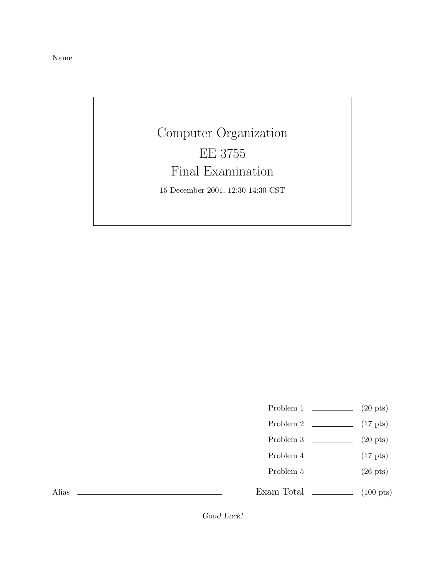Name

## Computer Organization Final Examination

Final Examination 15 December 2001, 12:30-14:30 CST

- Problem 1  $\qquad \qquad$  (20 pts)
- Problem 2  $\qquad \qquad$  (17 pts)
- Problem 3 (20 pts)
- Problem 4 (17 pts)
- Problem 5 (26 pts)

Exam Total  $\qquad \qquad$  (100 pts)

Alias

Good Luck!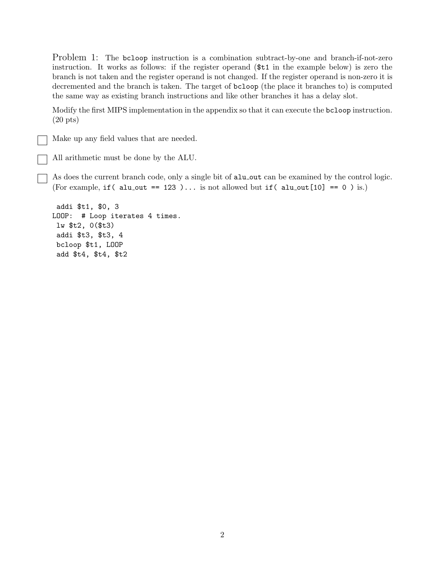Problem 1: The bcloop instruction is a combination subtract-by-one and branch-if-not-zero instruction. It works as follows: if the register operand (\$t1 in the example below) is zero the branch is not taken and the register operand is not changed. If the register operand is non-zero it is decremented and the branch is taken. The target of bcloop (the place it branches to) is computed the same way as existing branch instructions and like other branches it has a delay slot.

Modify the first MIPS implementation in the appendix so that it can execute the bcloop instruction. (20 pts)

Make up any field values that are needed.

All arithmetic must be done by the ALU.

As does the current branch code, only a single bit of alu\_out can be examined by the control logic. (For example, if ( alu\_out == 123 )... is not allowed but if ( alu\_out  $[10] = 0$  ) is.)

addi \$t1, \$0, 3 LOOP: # Loop iterates 4 times. lw \$t2, 0(\$t3) addi \$t3, \$t3, 4 bcloop \$t1, LOOP add \$t4, \$t4, \$t2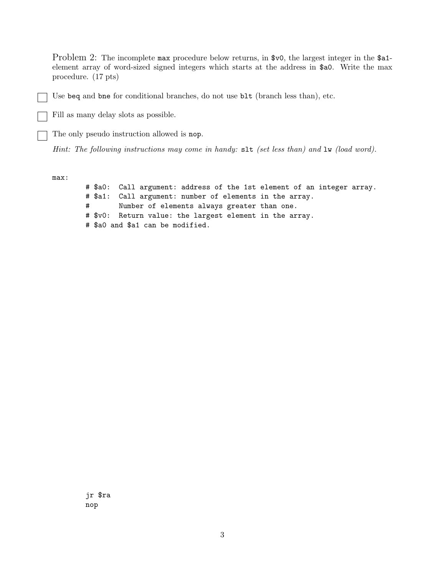Problem 2: The incomplete max procedure below returns, in \$v0, the largest integer in the \$a1element array of word-sized signed integers which starts at the address in \$a0. Write the max procedure. (17 pts)

Use beq and bne for conditional branches, do not use blt (branch less than), etc.

Fill as many delay slots as possible.

The only pseudo instruction allowed is nop.

*Hint: The following instructions may come in handy:* slt *(set less than) and* lw *(load word).*

max:

# \$a0: Call argument: address of the 1st element of an integer array. # \$a1: Call argument: number of elements in the array. # Number of elements always greater than one. # \$v0: Return value: the largest element in the array. # \$a0 and \$a1 can be modified.

jr \$ra nop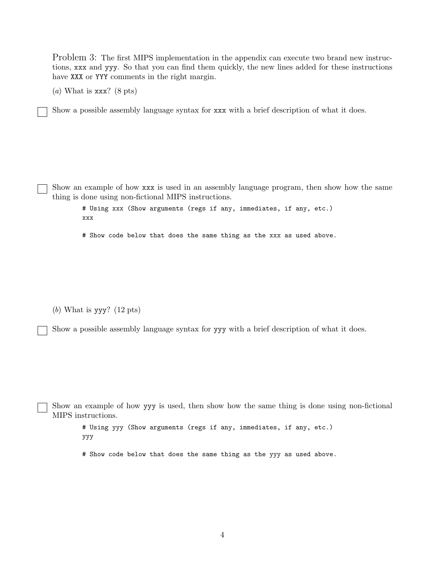Problem 3: The first MIPS implementation in the appendix can execute two brand new instructions, xxx and yyy. So that you can find them quickly, the new lines added for these instructions have XXX or YYY comments in the right margin.

(*a*) What is xxx? (8 pts)

Show a possible assembly language syntax for xxx with a brief description of what it does.

Show an example of how xxx is used in an assembly language program, then show how the same thing is done using non-fictional MIPS instructions.

# Using xxx (Show arguments (regs if any, immediates, if any, etc.) xxx

# Show code below that does the same thing as the xxx as used above.

(*b*) What is yyy? (12 pts)

Show a possible assembly language syntax for yyy with a brief description of what it does.

Show an example of how yyy is used, then show how the same thing is done using non-fictional MIPS instructions.

# Using yyy (Show arguments (regs if any, immediates, if any, etc.) yyy

# Show code below that does the same thing as the yyy as used above.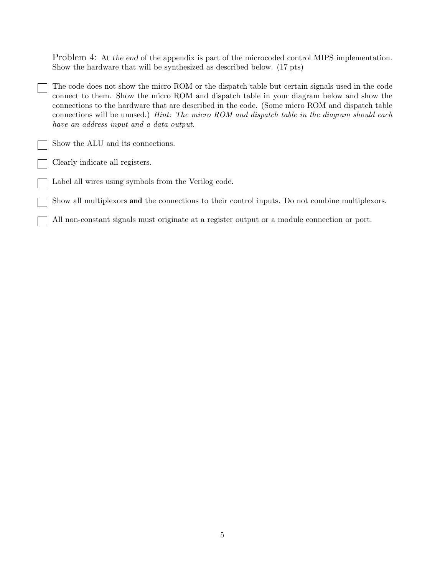Problem 4: At the end of the appendix is part of the microcoded control MIPS implementation. Show the hardware that will be synthesized as described below. (17 pts)

The code does not show the micro ROM or the dispatch table but certain signals used in the code connect to them. Show the micro ROM and dispatch table in your diagram below and show the connections to the hardware that are described in the code. (Some micro ROM and dispatch table connections will be unused.) *Hint: The micro ROM and dispatch table in the diagram should each have an address input and a data output.*

Show the ALU and its connections.

Clearly indicate all registers.

Label all wires using symbols from the Verilog code.

Show all multiplexors **and** the connections to their control inputs. Do not combine multiplexors.

All non-constant signals must originate at a register output or a module connection or port.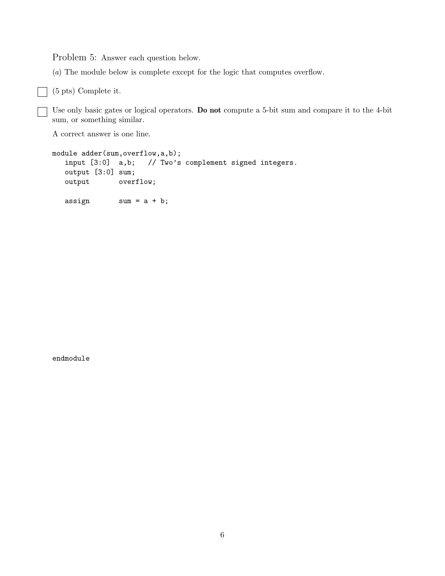Problem 5: Answer each question below.

(*a*) The module below is complete except for the logic that computes overflow.

(5 pts) Complete it.

 $\mathcal{L}$ 

Use only basic gates or logical operators. **Do not** compute a 5-bit sum and compare it to the 4-bit sum, or something similar.

A correct answer is one line.

```
module adder(sum, overflow, a, b);
   input [3:0] a,b; // Two's complement signed integers.
   output [3:0] sum;
   output overflow;
   \text{assign} \text{sum} = a + b;
```
endmodule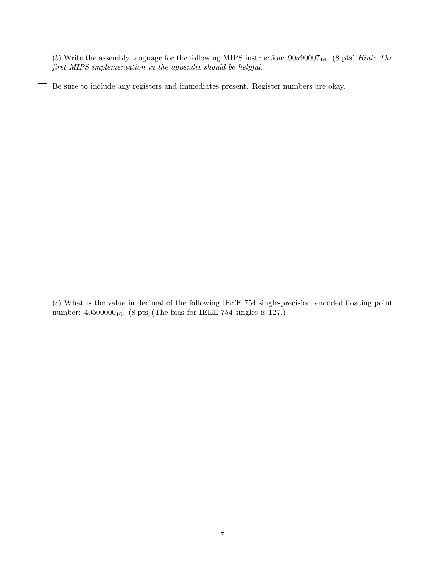(*b*) Write the assembly language for the following MIPS instruction: 90a9000716. (8 pts) *Hint: The first MIPS implementation in the appendix should be helpful.*

Be sure to include any registers and immediates present. Register numbers are okay.

(*c*) What is the value in decimal of the following IEEE 754 single-precision–encoded floating point number:  $40500000<sub>16</sub>$ . (8 pts)(The bias for IEEE 754 singles is 127.)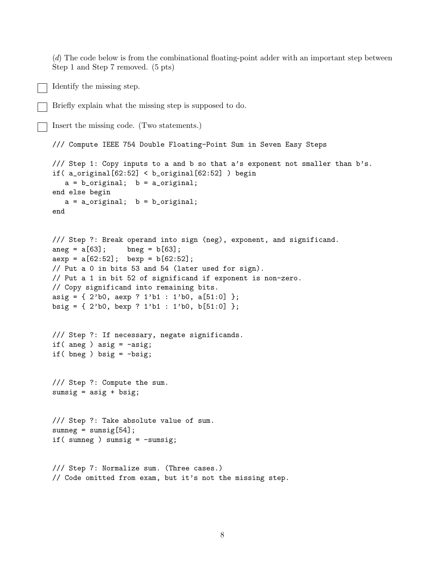(*d*) The code below is from the combinational floating-point adder with an important step between Step 1 and Step 7 removed. (5 pts)

```
Identify the missing step.
```
Briefly explain what the missing step is supposed to do.

```
Insert the missing code. (Two statements.)
```

```
/// Compute IEEE 754 Double Floating-Point Sum in Seven Easy Steps
/// Step 1: Copy inputs to a and b so that a's exponent not smaller than b's.
if( a_original[62:52] < b_original[62:52] ) begin
  a = b_original; b = a_original;
end else begin
  a = a_original; b = b_original;
end
```

```
/// Step ?: Break operand into sign (neg), exponent, and significand.
\text{ang} = a[63]; \quad \text{bneg} = b[63];aexp = a[62:52]; bexp = b[62:52];
// Put a 0 in bits 53 and 54 (later used for sign).
// Put a 1 in bit 52 of significand if exponent is non-zero.
// Copy significand into remaining bits.
```

```
asig = \{ 2^{\prime}b0, aexp ? 1^{\prime}b1 : 1^{\prime}b0, a[51:0] \};
```

```
bsig = \{ 2^{\prime}b0, \text{bexp} ? 1^{\prime}b1 : 1^{\prime}b0, \text{b}[51:0] \};
```

```
/// Step ?: If necessary, negate significands.
if( aneg ) asig = -\text{asig};
if( bneg ) bsig = -bsig;
```

```
/// Step ?: Compute the sum.
sumsig = \text{asig} + \text{bsig};
```

```
/// Step ?: Take absolute value of sum.
sumneg = sumsig[54];
if( sumneg ) sumsig = -sumsig;
```

```
/// Step 7: Normalize sum. (Three cases.)
// Code omitted from exam, but it's not the missing step.
```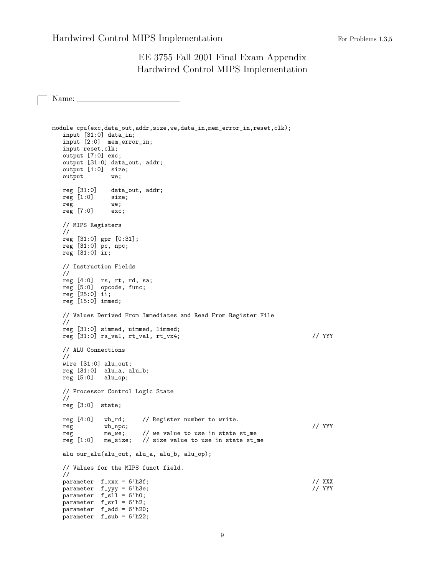## EE 3755 Fall 2001 Final Exam Appendix Hardwired Control MIPS Implementation

Name:

```
module cpu(exc,data_out,addr,size,we,data_in,mem_error_in,reset,clk);
   input [31:0] data_in;
   input [2:0] mem_error_in;
  input reset,clk;
  output [7:0] exc;
   output [31:0] data_out, addr;
  output [1:0] size;
  output we;
  reg [31:0] data_out, addr;
  reg [1:0] size;
  reg we;<br>reg [7:0] exc;
  reg [7:0]// MIPS Registers
  //
   reg [31:0] gpr [0:31];
   reg [31:0] pc, npc;
  reg [31:0] ir;
   // Instruction Fields
   //
   reg [4:0] rs, rt, rd, sa;
   reg [5:0] opcode, func;
   reg [25:0] ii;
  reg [15:0] immed;
   // Values Derived From Immediates and Read From Register File
   //
  reg [31:0] simmed, uimmed, limmed;
  reg [31:0] rs_val, rt_val, rt_vx4; // YYY
   // ALU Connections
   //
  wire [31:0] alu_out;
  reg [31:0] alu_a, alu_b;
   reg [5:0] alu_op;
   // Processor Control Logic State
   //
  reg [3:0] state;
  reg [4:0] wb_rd; // Register number to write.
   reg wb_npc; // YYY
  reg me_we; // we value to use in state st_me reg [1:0] me_size; // size value to use in state st_i
                        // size value to use in state st\_mealu our_alu(alu_out, alu_a, alu_b, alu_op);
   // Values for the MIPS funct field.
  //
  parameter f_{\text{xyx}} = 6' h3f; // XXX<br>parameter f_{\text{xyy}} = 6' h3e; // YYY
  parameter f_yyy = 6'h3e;parameter f_sll = 6'h0;
   parameter f_srl = 6'h2;
   parameter f_add = 6'h20;
  parameter fsub = 6'h22;
```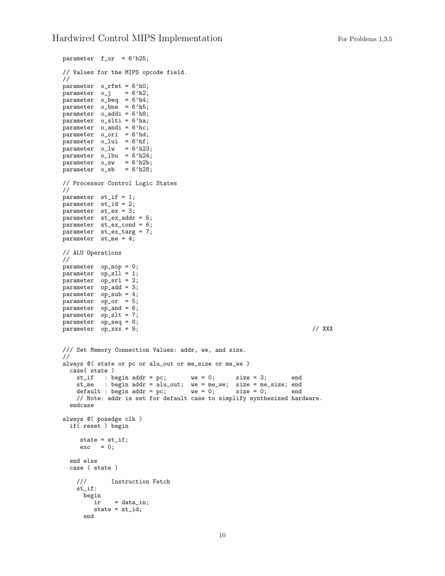```
parameter f_or = 6'h25;
// Values for the MIPS opcode field.
//
parameter o_rfmt = 6'h0;
\text{parameter} o_j = 6'h2;
parameter o_beq = 6'h4;
parameter o_bne = 6'h5;
parameter o_addi = 6'h8;
parameter o_slti = 6'ha;
parameter o_andi = 6'hc;
parameter o_ori = 6'hd;
parameter o_lui = 6'hf;
parameter o_lw = 6'h23;\bar{p}arameter o_lbu = 6'h24;
parameter o_sw = 6'h2b;
parameter o_sb = 6'h28;
// Processor Control Logic States
//
parameter st_if = 1;
parameter st_id = 2;
parameter st_ex = 3;
parameter st_ex_addr = 5;
\overline{\text{parameter}} st_ex_cond = 6;
parameter st_ex_targ = 7;
parameter st_me = 4;
// ALU Operations
//
parameter op_nop = 0;
parameter op_sll = 1;
parameter op_srl = 2;
parameter op_add = 3;
parameter op_sub = 4;
parameter op_or = 5;
parameter op_and = 6;
parameter op_slt = 7;
parameter op_seq = 8;
parameter op_xxx = 9; // XXX
/// Set Memory Connection Values: addr, we, and size.
//
always @( state or pc or alu_out or me_size or me_we )
  case( state )
    st_if : begin addr = pc; we = 0; size = 3; end
    st_me : begin addr = alu_out; we = me_we; size = me_size; end default : begin addr = pc; we = 0; size = 0; end
    default: begin addr = pc;// Note: addr is set for default case to simplify synthesized hardware.
  endcase
always @( posedge clk )
  if( reset ) begin
     state = st_if;
     exc = 0;end else
  case ( state )
    /// Instruction Fetch
    st_if:
     begin
              = data_in;
        state = st_id;
      end
```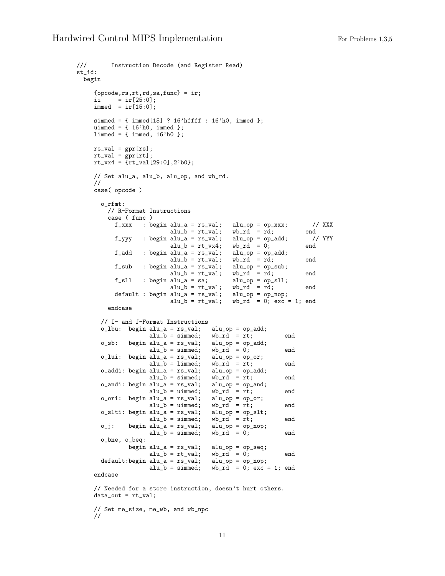```
/// Instruction Decode (and Register Read)
st_id:
  begin
      {opcode,rs,rt,rd,sa,func} = ir;
      i \in \text{ir}[25:0];immed = ir[15:0];simmed = \{ \text{immed}[15] ? 16'hffff : 16'h0, immed };
      uimmed = { 16'h0, immed };
      limmed = { immed, 16'h0 };
      rs\_val = gpr[rs];rt_val = gpr[rt];
       rt_vx4 = {rt_val[29:0],2'b0};
      // Set alu_a, alu_b, alu_op, and wb_rd.
      //
      case( opcode )
         o_rfmt:
            // R-Format Instructions
            case ( func )
               f_{\text{c}}xxx : begin alu_a = rs_val; alu_op = op_xxx; // XXX<br>alu_b = rt_val; wb_rd = rd; end
                                    alu_b = rt_val; wb_r d = rd; end<br>alu_a = rs_val; alu_op = op_add; // YYY
               f_yyy : begin alu_a = rs_val; alu_op = op_add; // alu_b = rt_vx4; wb_rd = 0; end
                                     alu_b = rt_vx4; wb_rd = 0; end
               f_add : begin alu_a = rs_val; alu_op = op_add;
                                    alu_b = rt_val; wb_rd = rd; end
               f_sub : begin alu_a = rs_val; alu_op = op_sub;
                                    \begin{array}{ll}\n\mathrm{alu}\_b = \mathrm{rt}\_\mathrm{val}; & \mathrm{wb}\_r\mathrm{d} = \mathrm{rd}; & \mathrm{end} \\
\mathrm{alu}\_a = \mathrm{sa}; & \mathrm{alu}\_p = \mathrm{op}\_s\mathrm{dl}; & \mathrm{and} \\
\mathrm{alu}\_b = \mathrm{rt}\_\mathrm{val}; & \mathrm{wb}\_r\mathrm{d} = \mathrm{rd}; & \mathrm{end} \end{array}f_sll : begin alu_a = sa;
                                    alu_b = rt_val; wb_rd = rd; end<br>
alu_a = rs_val; alu_op = op_nop;default: begin all_a = rs_val;alu_b = rt_val; wb_rd = 0; exc = 1; end
            endcase
         // I- and J-Format Instructions
         o_lbu: begin alu_a = rs_val; alu_op = op_add;
                            alu_b = simmed; wb\_rd = rt; end<br>alu_a = rs\_val; alu_op = op\_add;
         o_sb: begin alu_a = rs_val; alu_op = op_<br>alu_b = simmed; wb_rd = 0;
                            alu_b = simmed; wb_r d = 0; end
         o_lui: begin alu_a = rs\_val;<br>alu_b = limmed;
                                                     \begin{array}{ll}\n\text{all\_op = op\_or;} \\
\text{wb\_rd = rt;} \\
\text{all\_op = op\_add;} \\
\end{array}o\_addi: begin alu_a = rs\_val;alu_b = simmed; wb_r d = rt; end<br>alu_a = rs_v al; alu_op = op_and;o_andi: begin alu_a = rs\_val; alu_op = op_aandi: begins alu_b = uimmed; wb_rd = rt;
                            alu_b = uimmed; \quad wb_rdd = rt; \quad endo_ori: begin alu_a = rs\_val; alu_op = op_or;<br>alu_b = uimmed; wb_rd = rt;
                            alu_b = uimmed; wb\_rd = rt; end
         o_slti: begin alu_a = rs\_val; alu_op = op\_slt;<br>alu_b = simmed; wb_rd = rt;
                            alu_b = simmed; wb_rd = rt; end
         o_j: begin alu_a = rs_val; alu_op = op_nop;<br>alu_b = simmed; wb_rd = 0;
                            alu_b = simmed; wb_r d = 0; end
         o_bne, o_beq:
                    begin alu_a = rs\_val; alu_op = op\_seq;<br>alu_b = rt\_val; wb\_rd = 0;alu_b = rt_val; wb_rd = 0; end<br>alu_a = rs_val; alu_op = op_nop;default:begin alu_a = rs\_val;<br>alu_b = simmed;
                                                     wb\_rd = 0; exc = 1; end
      endcase
      // Needed for a store instruction, doesn't hurt others.
      data_out = rt_val;
```
// Set me\_size, me\_wb, and wb\_npc //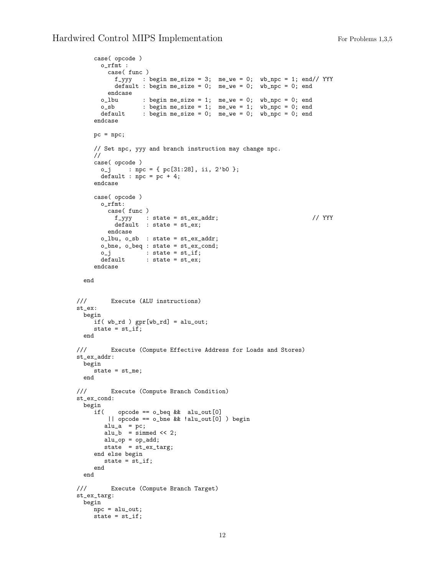```
case( opcode )
      o_rfmt :
        case( func )
          f_{-}yyy : begin me_size = 3; me_we = 0; wb_npc = 1; end// YYY
          default : begin me_size = 0; me_we = 0; wb_npc = 0; end
      endcase<br>o_lbu
       o_lbu : begin me_size = 1; me_we = 0; wb_npc = 0; end
       o_sb : begin me_size = 1; me_we = 1; wb_npc = 0; end
       default : begin me_size = 0; me_we = 0; wb_npc = 0; end
    endcase
    pc = npc;// Set npc, yyy and branch instruction may change npc.
    //
    case( opcode )
      o_j : npc = { pc[31:28], ii, 2'b0 };
      default : npc = pc + 4;
    endcase
    case( opcode )
      o_rfmt:
        case( func )
         f_{-}yyy : state = st_{-}ex_{-}addr; // YYY
         \det default : state = st_ex;
        endcase
      o_lbu, o_sb : state = st_ex_addr;
      o_bne, o_beq : state = st_ex_cond;
       o_j : state = st_i;
       default : state = st_ex;
    endcase
 end
/// Execute (ALU instructions)
st_ex:
 begin
    if( wb_rd ) gpr[wb_rd] = alu_out;
    state = st_if;end
/// Execute (Compute Effective Address for Loads and Stores)
st_ex_addr:
 begin
   state = st_me;
 end
/// Execute (Compute Branch Condition)
st_ex_cond:
 begin
    if( \qquad opcode == o_beq && alu_out[0]
        || opcode == o_bne && !alu_out[0] ) begin
       alu_a = pc;alu_b = simmed << 2;
       alu_op = op\_add;state = st_ex_targ;
    end else begin
      state = st_if;end
 end
/// Execute (Compute Branch Target)
st_ex_targ:
 begin
    npc = alu_out;
    state = st_if;
```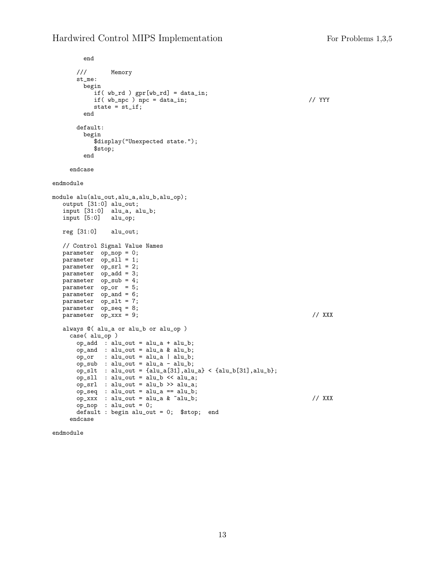## Hardwired Control MIPS Implementation For Problems 1,3,5

```
end
      /// Memory
      st_me:
       begin
          if( wb_rd ) gpr[wb_rd] = data_in;
          if( wb_npc ) npc = data_in; // YYY
          state = st_if;end
      default:
       begin
          $display("Unexpected state.");
          $stop;
       end
    endcase
endmodule
module alu(alu_out,alu_a,alu_b,alu_op);
  output [31:0] alu_out;
  input [31:0] alu_a, alu_b;
  input [5:0] alu_op;
  reg [31:0] alu_out;
  // Control Signal Value Names
  parameter op_nop = 0;
  parameter op_sll = 1;
  parameter op_srl = 2;
  parameter op_add = 3;
  parameter op_sub = 4;
  parameter op_or = 5;
  parameter op_and = 6;
  parameter op_slt = 7;
  parameter op_seq = 8;
  parameter op_xxx = 9; // XXX
  always @( alu_a or alu_b or alu_op )
    case( alu_op )
      op_add : alu_out = alu_a + alu_b;
      op_and : alu_out = alu_a & alu_b;
      op_or : alu_out = alu_a | alu_b;
      op_sub : alu_out = alu_a - alu_b;
      op_slt : alu_out = {alu_a[31],alu_a} < {alu_b[31],alu_b};
      op_sll : alu_out = alu_b << alu_a;
      op_srl : alu_out = alu_b >> alu_a;
      op_seq : alu_out = alu_a == alu_b;
      op_xxx : alu_out = alu_a & ~alu_b; // XXX
      op_nop : alu_out = 0;
      default : begin alu_out = 0; $stop; end
    endcase
```
endmodule